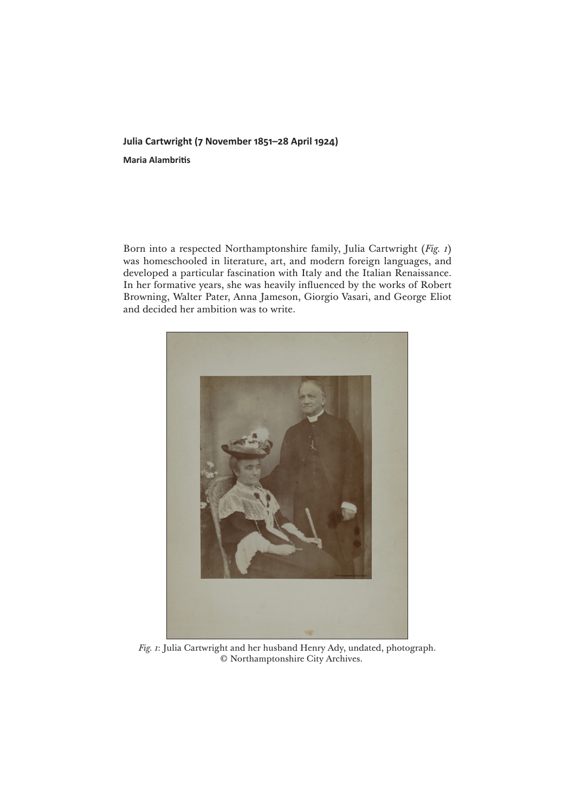## **Julia Cartwright (7 November 1851–28 April 1924)**

**Maria Alambritis**

Born into a respected Northamptonshire family, Julia Cartwright (*Fig. 1*) was homeschooled in literature, art, and modern foreign languages, and developed a particular fascination with Italy and the Italian Renaissance. In her formative years, she was heavily influenced by the works of Robert Browning, Walter Pater, Anna Jameson, Giorgio Vasari, and George Eliot and decided her ambition was to write.



*Fig. 1*: Julia Cartwright and her husband Henry Ady, undated, photograph. © Northamptonshire City Archives.